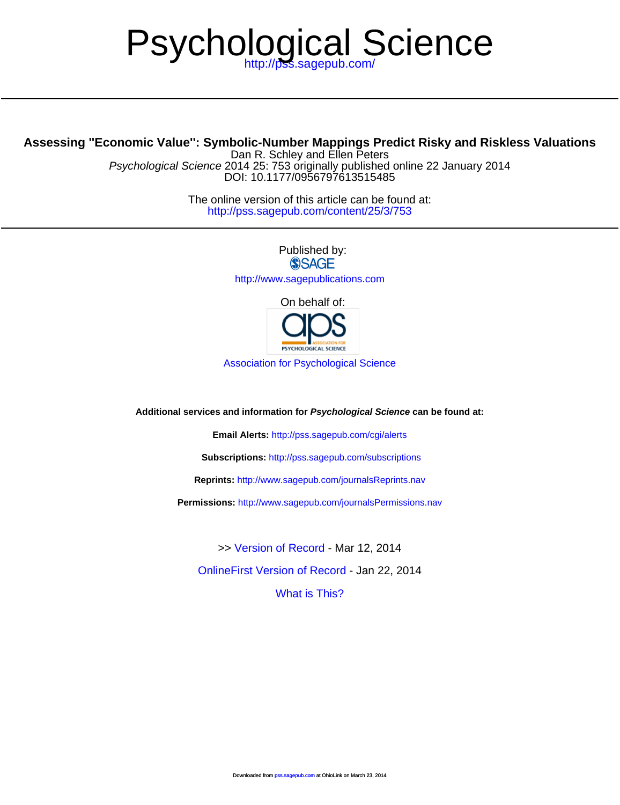# Psychol[ogical Sci](http://pss.sagepub.com/cgi/alerts)ence

# **Assessing ''Economic Value'': Sym[bolic-Number Mappings Predict Ri](http://www.sagepub.com/journalsReprints.nav)sky and Riskless Valuations**

D[OI: 10.1177/0956797613515485](http://www.sagepub.com/journalsPermissions.nav) Psychological Science 2014 25: 753 originally published online 22 January 2014 Dan R. Schley and Ellen Peters

> <http://pss.sagepub.com/content/25/3/753> The online version of this article can be found at:

> > Published by:<br>
> > SAGE <http://www.sagepublications.com> [On behalf of:](http://pss.sagepub.com/content/early/2014/01/21/0956797613515485.full.pdf)



[Association for Psychological Science](http://www.psychologicalscience.org/)

**Additional services and information for Psychological Science can be found at:**

**Email Alerts:** <http://pss.sagepub.com/cgi/alerts>

**Subscriptions:** <http://pss.sagepub.com/subscriptions>

**Reprints:** <http://www.sagepub.com/journalsReprints.nav>

**Permissions:** <http://www.sagepub.com/journalsPermissions.nav>

[OnlineFirst Version of Record -](http://pss.sagepub.com/content/early/2014/01/21/0956797613515485.full.pdf) Jan 22, 2014 >> [Version of Record -](http://pss.sagepub.com/content/25/3/753.full.pdf) Mar 12, 2014

[What is This?](http://online.sagepub.com/site/sphelp/vorhelp.xhtml)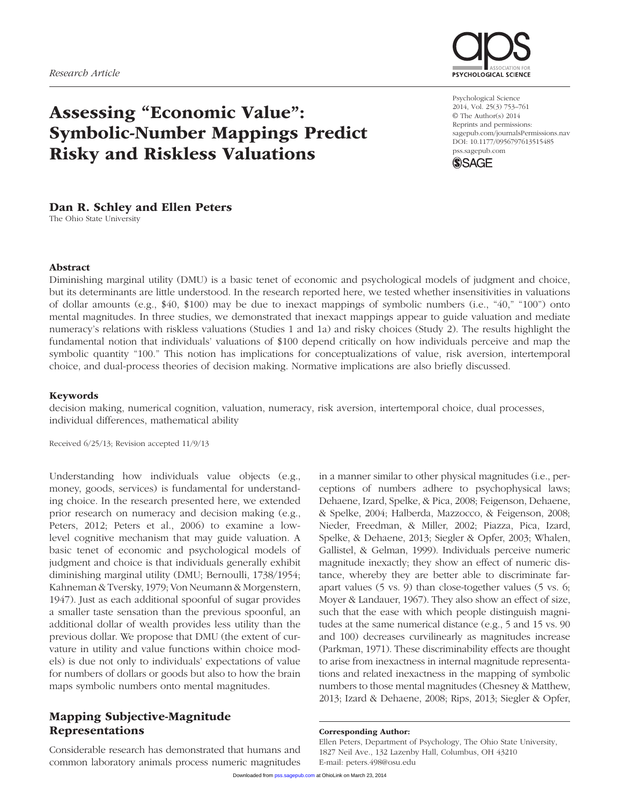

# Assessing "Economic Value": Symbolic-Number Mappings Predict Risky and Riskless Valuations

# Dan R. Schley and Ellen Peters

The Ohio State University

Psychological Science 2014, Vol. 25(3) 753–761 © The Author(s) 2014 Reprints and permissions: sagepub.com/journalsPermissions.nav DOI: 10.1177/0956797613515485 pss.sagepub.com



#### Abstract

Diminishing marginal utility (DMU) is a basic tenet of economic and psychological models of judgment and choice, but its determinants are little understood. In the research reported here, we tested whether insensitivities in valuations of dollar amounts (e.g., \$40, \$100) may be due to inexact mappings of symbolic numbers (i.e., "40," "100") onto mental magnitudes. In three studies, we demonstrated that inexact mappings appear to guide valuation and mediate numeracy's relations with riskless valuations (Studies 1 and 1a) and risky choices (Study 2). The results highlight the fundamental notion that individuals' valuations of \$100 depend critically on how individuals perceive and map the symbolic quantity "100." This notion has implications for conceptualizations of value, risk aversion, intertemporal choice, and dual-process theories of decision making. Normative implications are also briefly discussed.

#### Keywords

decision making, numerical cognition, valuation, numeracy, risk aversion, intertemporal choice, dual processes, individual differences, mathematical ability

Received 6/25/13; Revision accepted 11/9/13

Understanding how individuals value objects (e.g., money, goods, services) is fundamental for understanding choice. In the research presented here, we extended prior research on numeracy and decision making (e.g., Peters, 2012; Peters et al., 2006) to examine a lowlevel cognitive mechanism that may guide valuation. A basic tenet of economic and psychological models of judgment and choice is that individuals generally exhibit diminishing marginal utility (DMU; Bernoulli, 1738/1954; Kahneman & Tversky, 1979; Von Neumann & Morgenstern, 1947). Just as each additional spoonful of sugar provides a smaller taste sensation than the previous spoonful, an additional dollar of wealth provides less utility than the previous dollar. We propose that DMU (the extent of curvature in utility and value functions within choice models) is due not only to individuals' expectations of value for numbers of dollars or goods but also to how the brain maps symbolic numbers onto mental magnitudes.

# Mapping Subjective-Magnitude Representations

Considerable research has demonstrated that humans and common laboratory animals process numeric magnitudes

in a manner similar to other physical magnitudes (i.e., perceptions of numbers adhere to psychophysical laws; Dehaene, Izard, Spelke, & Pica, 2008; Feigenson, Dehaene, & Spelke, 2004; Halberda, Mazzocco, & Feigenson, 2008; Nieder, Freedman, & Miller, 2002; Piazza, Pica, Izard, Spelke, & Dehaene, 2013; Siegler & Opfer, 2003; Whalen, Gallistel, & Gelman, 1999). Individuals perceive numeric magnitude inexactly; they show an effect of numeric distance, whereby they are better able to discriminate farapart values (5 vs. 9) than close-together values (5 vs. 6; Moyer & Landauer, 1967). They also show an effect of size, such that the ease with which people distinguish magnitudes at the same numerical distance (e.g., 5 and 15 vs. 90 and 100) decreases curvilinearly as magnitudes increase (Parkman, 1971). These discriminability effects are thought to arise from inexactness in internal magnitude representations and related inexactness in the mapping of symbolic numbers to those mental magnitudes (Chesney & Matthew, 2013; Izard & Dehaene, 2008; Rips, 2013; Siegler & Opfer,

#### Corresponding Author:

Ellen P[eters, Departm](http://pss.sagepub.com/)ent of Psychology, The Ohio State University, 1827 Neil Ave., 132 Lazenby Hall, Columbus, OH 43210 E-mail: peters.498@osu.edu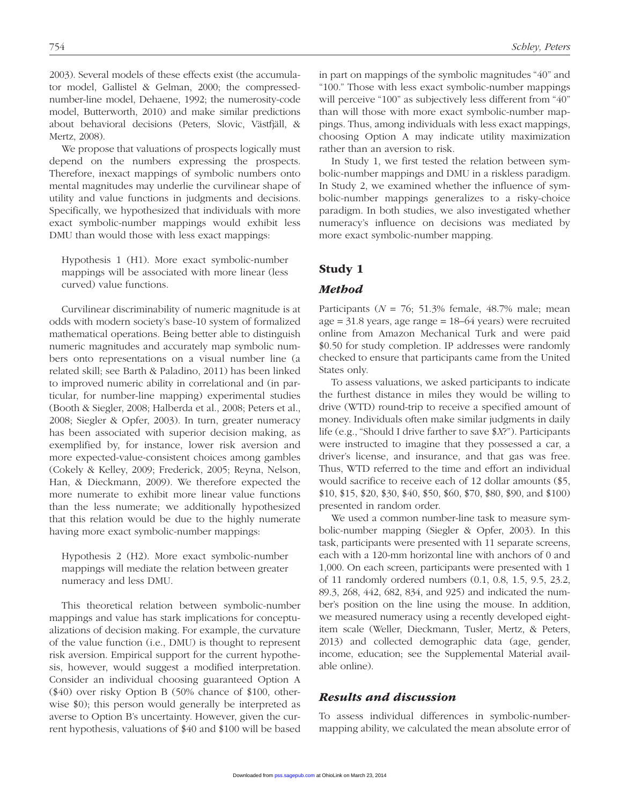2003). Several models of these effects exist (the accumulator model, Gallistel & Gelman, 2000; the compressednumber-line model, Dehaene, 1992; the numerosity-code model, Butterworth, 2010) and make similar predictions about behavioral decisions (Peters, Slovic, Västfjäll, & Mertz, 2008).

We propose that valuations of prospects logically must depend on the numbers expressing the prospects. Therefore, inexact mappings of symbolic numbers onto mental magnitudes may underlie the curvilinear shape of utility and value functions in judgments and decisions. Specifically, we hypothesized that individuals with more exact symbolic-number mappings would exhibit less DMU than would those with less exact mappings:

Hypothesis 1 (H1). More exact symbolic-number mappings will be associated with more linear (less curved) value functions.

Curvilinear discriminability of numeric magnitude is at odds with modern society's base-10 system of formalized mathematical operations. Being better able to distinguish numeric magnitudes and accurately map symbolic numbers onto representations on a visual number line (a related skill; see Barth & Paladino, 2011) has been linked to improved numeric ability in correlational and (in particular, for number-line mapping) experimental studies (Booth & Siegler, 2008; Halberda et al., 2008; Peters et al., 2008; Siegler & Opfer, 2003). In turn, greater numeracy has been associated with superior decision making, as exemplified by, for instance, lower risk aversion and more expected-value-consistent choices among gambles (Cokely & Kelley, 2009; Frederick, 2005; Reyna, Nelson, Han, & Dieckmann, 2009). We therefore expected the more numerate to exhibit more linear value functions than the less numerate; we additionally hypothesized that this relation would be due to the highly numerate having more exact symbolic-number mappings:

Hypothesis 2 (H2). More exact symbolic-number mappings will mediate the relation between greater numeracy and less DMU.

This theoretical relation between symbolic-number mappings and value has stark implications for conceptualizations of decision making. For example, the curvature of the value function (i.e., DMU) is thought to represent risk aversion. Empirical support for the current hypothesis, however, would suggest a modified interpretation. Consider an individual choosing guaranteed Option A (\$40) over risky Option B (50% chance of \$100, otherwise \$0); this person would generally be interpreted as averse to Option B's uncertainty. However, given the current hypothesis, valuations of \$40 and \$100 will be based in part on mappings of the symbolic magnitudes "40" and "100." Those with less exact symbolic-number mappings will perceive "100" as subjectively less different from "40" than will those with more exact symbolic-number mappings. Thus, among individuals with less exact mappings, choosing Option A may indicate utility maximization rather than an aversion to risk.

In Study 1, we first tested the relation between symbolic-number mappings and DMU in a riskless paradigm. In Study 2, we examined whether the influence of symbolic-number mappings generalizes to a risky-choice paradigm. In both studies, we also investigated whether numeracy's influence on decisions was mediated by more exact symbolic-number mapping.

### Study 1

#### *Method*

Participants ( $N = 76$ ; 51.3% female, 48.7% male; mean age = 31.8 years, age range = 18–64 years) were recruited online from Amazon Mechanical Turk and were paid \$0.50 for study completion. IP addresses were randomly checked to ensure that participants came from the United States only.

To assess valuations, we asked participants to indicate the furthest distance in miles they would be willing to drive (WTD) round-trip to receive a specified amount of money. Individuals often make similar judgments in daily life (e.g., "Should I drive farther to save \$*X*?"). Participants were instructed to imagine that they possessed a car, a driver's license, and insurance, and that gas was free. Thus, WTD referred to the time and effort an individual would sacrifice to receive each of 12 dollar amounts (\$5, \$10, \$15, \$20, \$30, \$40, \$50, \$60, \$70, \$80, \$90, and \$100) presented in random order.

We used a common number-line task to measure symbolic-number mapping (Siegler & Opfer, 2003). In this task, participants were presented with 11 separate screens, each with a 120-mm horizontal line with anchors of 0 and 1,000. On each screen, participants were presented with 1 of 11 randomly ordered numbers (0.1, 0.8, 1.5, 9.5, 23.2, 89.3, 268, 442, 682, 834, and 925) and indicated the number's position on the line using the mouse. In addition, we measured numeracy using a recently developed eightitem scale (Weller, Dieckmann, Tusler, Mertz, & Peters, 2013) and collected demographic data (age, gender, income, education; see the Supplemental Material available online).

#### *Results and discussion*

To assess individual differences in symbolic-numbermapping ability, we calculated the mean absolute error of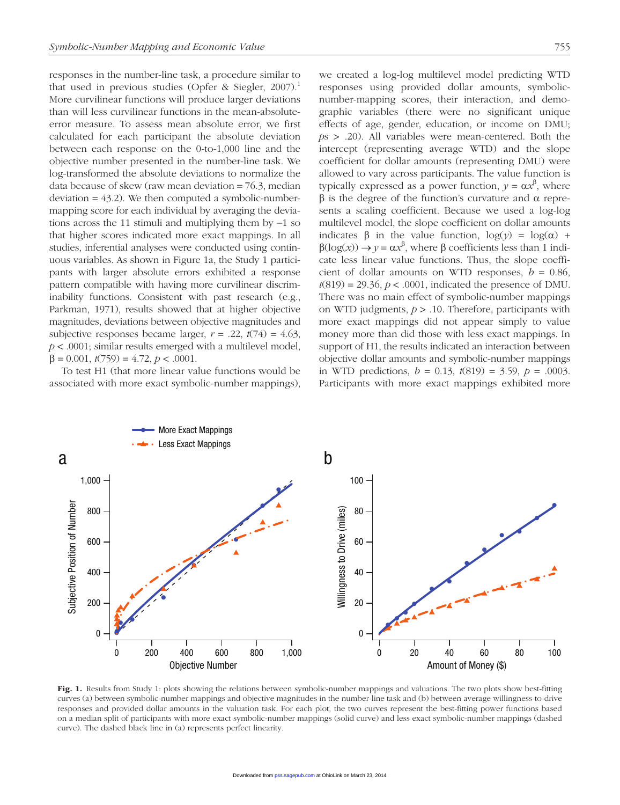responses in the number-line task, a procedure similar to that used in previous studies (Opfer & Siegler, 2007).<sup>1</sup> More curvilinear functions will produce larger deviations than will less curvilinear functions in the mean-absoluteerror measure. To assess mean absolute error, we first calculated for each participant the absolute deviation between each response on the 0-to-1,000 line and the objective number presented in the number-line task. We log-transformed the absolute deviations to normalize the data because of skew (raw mean deviation = 76.3, median deviation  $= 43.2$ ). We then computed a symbolic-numbermapping score for each individual by averaging the deviations across the 11 stimuli and multiplying them by −1 so that higher scores indicated more exact mappings. In all studies, inferential analyses were conducted using continuous variables. As shown in Figure 1a, the Study 1 participants with larger absolute errors exhibited a response pattern compatible with having more curvilinear discriminability functions. Consistent with past research (e.g., Parkman, 1971), results showed that at higher objective magnitudes, deviations between objective magnitudes and subjective responses became larger,  $r = .22$ ,  $t(74) = 4.63$ , *p* < .0001; similar results emerged with a multilevel model, β *=* 0.001, *t*(759) = 4.72, *p* < .0001.

To test H1 (that more linear value functions would be associated with more exact symbolic-number mappings), we created a log-log multilevel model predicting WTD responses using provided dollar amounts, symbolicnumber-mapping scores, their interaction, and demographic variables (there were no significant unique effects of age, gender, education, or income on DMU; *p*s > .20). All variables were mean-centered. Both the intercept (representing average WTD) and the slope coefficient for dollar amounts (representing DMU) were allowed to vary across participants. The value function is typically expressed as a power function,  $y = \alpha x^{\beta}$ , where β is the degree of the function's curvature and α represents a scaling coefficient. Because we used a log-log multilevel model, the slope coefficient on dollar amounts indicates β in the value function,  $log(y) = log(α) +$  $β(log(x)) → y = αx<sup>β</sup>$ , where β coefficients less than 1 indicate less linear value functions. Thus, the slope coefficient of dollar amounts on WTD responses,  $b = 0.86$ ,  $t(819) = 29.36$ ,  $p < .0001$ , indicated the presence of DMU. There was no main effect of symbolic-number mappings on WTD judgments, *p* > .10. Therefore, participants with more exact mappings did not appear simply to value money more than did those with less exact mappings. In support of H1, the results indicated an interaction between objective dollar amounts and symbolic-number mappings in WTD predictions, *b* = 0.13, *t*(819) = 3.59, *p* = .0003. Participants with more exact mappings exhibited more



Fig. 1. Results from Study 1: plots showing the relations between symbolic-number mappings and valuations. The two plots show best-fitting curves (a) between symbolic-number mappings and objective magnitudes in the number-line task and (b) between average willingness-to-drive responses and provided dollar amounts in the valuation task. For each plot, the two curves represent the best-fitting power functions based on a median split of participants with more exact symbolic-number mappings (solid curve) and less exact symbolic-number mappings (dashed curve). The dashed black line in (a) represents perfect linearity.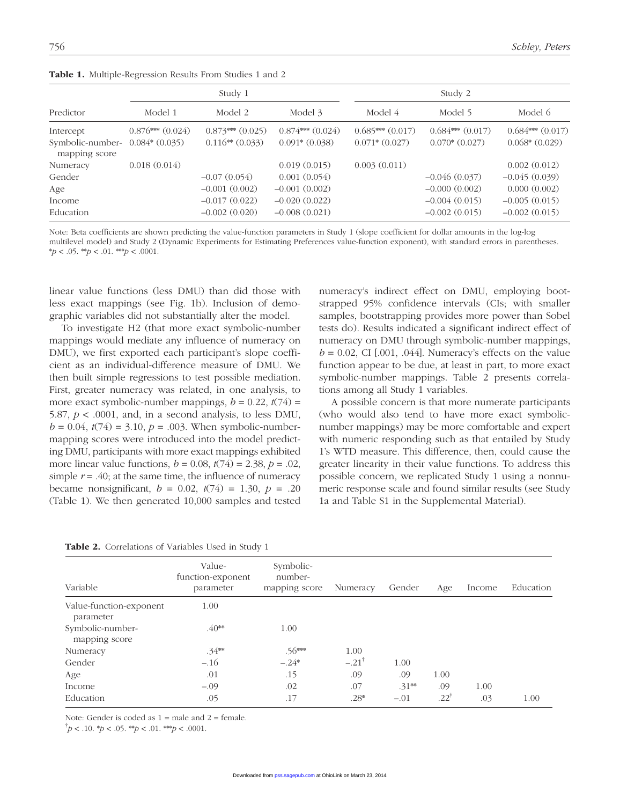|                                   | Study 1              |                      |                      | Study 2           |                      |                      |  |
|-----------------------------------|----------------------|----------------------|----------------------|-------------------|----------------------|----------------------|--|
| Predictor                         | Model 1              | Model 2              | Model 3              | Model 4           | Model 5              | Model 6              |  |
| Intercept                         | $0.876***$ $(0.024)$ | $0.873***$ $(0.025)$ | $0.874***$ $(0.024)$ | $0.685***(0.017)$ | $0.684***$ $(0.017)$ | $0.684***$ $(0.017)$ |  |
| Symbolic-number-<br>mapping score | $0.084*(0.035)$      | $0.116**$ $(0.033)$  | $0.091*(0.038)$      | $0.071*(0.027)$   | $0.070*(0.027)$      | $0.068*(0.029)$      |  |
| Numeracy                          | 0.018(0.014)         |                      | 0.019(0.015)         | 0.003(0.011)      |                      | 0.002(0.012)         |  |
| Gender                            |                      | $-0.07(0.054)$       | 0.001(0.054)         |                   | $-0.046(0.037)$      | $-0.045(0.039)$      |  |
| Age                               |                      | $-0.001(0.002)$      | $-0.001(0.002)$      |                   | $-0.000(0.002)$      | 0.000(0.002)         |  |
| Income                            |                      | $-0.017(0.022)$      | $-0.020(0.022)$      |                   | $-0.004(0.015)$      | $-0.005(0.015)$      |  |
| Education                         |                      | $-0.002(0.020)$      | $-0.008(0.021)$      |                   | $-0.002(0.015)$      | $-0.002(0.015)$      |  |

Table 1. Multiple-Regression Results From Studies 1 and 2

Note: Beta coefficients are shown predicting the value-function parameters in Study 1 (slope coefficient for dollar amounts in the log-log multilevel model) and Study 2 (Dynamic Experiments for Estimating Preferences value-function exponent), with standard errors in parentheses.  $* p < .05.$  \*\* $p < .01.$  \*\* $p < .0001.$ 

linear value functions (less DMU) than did those with less exact mappings (see Fig. 1b). Inclusion of demographic variables did not substantially alter the model.

To investigate H2 (that more exact symbolic-number mappings would mediate any influence of numeracy on DMU), we first exported each participant's slope coefficient as an individual-difference measure of DMU. We then built simple regressions to test possible mediation. First, greater numeracy was related, in one analysis, to more exact symbolic-number mappings,  $b = 0.22$ ,  $t(74) =$ 5.87,  $p < .0001$ , and, in a second analysis, to less DMU,  $b = 0.04$ ,  $t(74) = 3.10$ ,  $p = .003$ . When symbolic-numbermapping scores were introduced into the model predicting DMU, participants with more exact mappings exhibited more linear value functions,  $b = 0.08$ ,  $t(74) = 2.38$ ,  $p = .02$ , simple  $r = .40$ ; at the same time, the influence of numeracy became nonsignificant,  $b = 0.02$ ,  $t(74) = 1.30$ ,  $p = .20$ (Table 1). We then generated 10,000 samples and tested

Table 2. Correlations of Variables Used in Study 1

numeracy's indirect effect on DMU, employing bootstrapped 95% confidence intervals (CIs; with smaller samples, bootstrapping provides more power than Sobel tests do). Results indicated a significant indirect effect of numeracy on DMU through symbolic-number mappings,  $b = 0.02$ , CI [.001, .044]. Numeracy's effects on the value function appear to be due, at least in part, to more exact symbolic-number mappings. Table 2 presents correlations among all Study 1 variables.

A possible concern is that more numerate participants (who would also tend to have more exact symbolicnumber mappings) may be more comfortable and expert with numeric responding such as that entailed by Study 1's WTD measure. This difference, then, could cause the greater linearity in their value functions. To address this possible concern, we replicated Study 1 using a nonnumeric response scale and found similar results (see Study 1a and Table S1 in the Supplemental Material).

| Variable                             | Value-<br>function-exponent<br>parameter | Symbolic-<br>number-<br>mapping score | Numeracy         | Gender  | Age             | Income | Education |  |  |
|--------------------------------------|------------------------------------------|---------------------------------------|------------------|---------|-----------------|--------|-----------|--|--|
| Value-function-exponent<br>parameter | 1.00                                     |                                       |                  |         |                 |        |           |  |  |
| Symbolic-number-<br>mapping score    | $.40**$                                  | 1.00                                  |                  |         |                 |        |           |  |  |
| Numeracy                             | $.34**$                                  | $.56***$                              | 1.00             |         |                 |        |           |  |  |
| Gender                               | $-.16$                                   | $-.24*$                               | $-.21^{\dagger}$ | 1.00    |                 |        |           |  |  |
| Age                                  | .01                                      | .15                                   | .09              | .09     | 1.00            |        |           |  |  |
| Income                               | $-.09$                                   | .02                                   | .07              | $.31**$ | .09             | 1.00   |           |  |  |
| Education                            | .05                                      | .17                                   | $.28*$           | $-.01$  | $.22^{\dagger}$ | .03    | 1.00      |  |  |

Note: Gender is coded as  $1 =$  male and  $2 =$  female.

 $\dot{p}$  < .10. \**p* < .05. \*\**p* < .01. \*\**p* < .0001.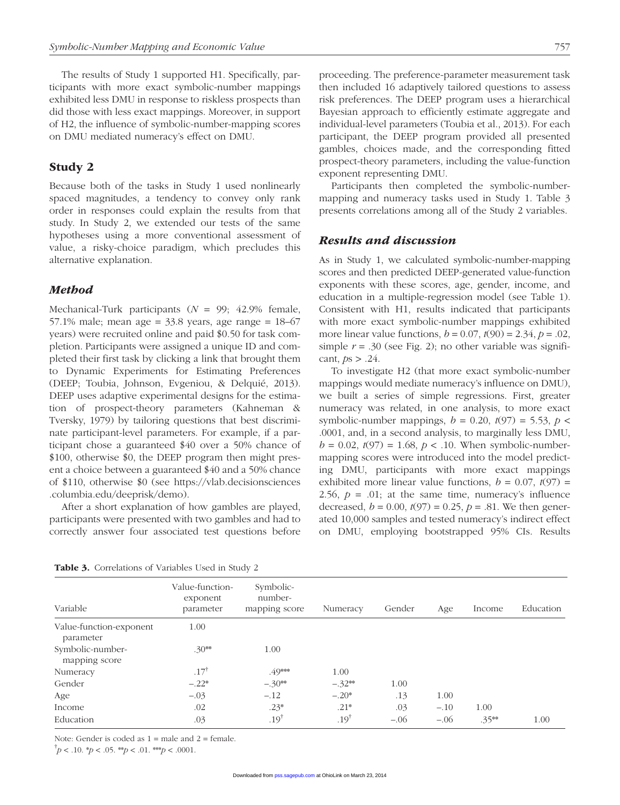The results of Study 1 supported H1. Specifically, participants with more exact symbolic-number mappings exhibited less DMU in response to riskless prospects than did those with less exact mappings. Moreover, in support of H2, the influence of symbolic-number-mapping scores on DMU mediated numeracy's effect on DMU.

# Study 2

Because both of the tasks in Study 1 used nonlinearly spaced magnitudes, a tendency to convey only rank order in responses could explain the results from that study. In Study 2, we extended our tests of the same hypotheses using a more conventional assessment of value, a risky-choice paradigm, which precludes this alternative explanation.

#### *Method*

Mechanical-Turk participants (*N* = 99; 42.9% female, 57.1% male; mean age =  $33.8$  years, age range =  $18-67$ years) were recruited online and paid \$0.50 for task completion. Participants were assigned a unique ID and completed their first task by clicking a link that brought them to Dynamic Experiments for Estimating Preferences (DEEP; Toubia, Johnson, Evgeniou, & Delquié, 2013). DEEP uses adaptive experimental designs for the estimation of prospect-theory parameters (Kahneman & Tversky, 1979) by tailoring questions that best discriminate participant-level parameters. For example, if a participant chose a guaranteed \$40 over a 50% chance of \$100, otherwise \$0, the DEEP program then might present a choice between a guaranteed \$40 and a 50% chance [of \\$110, otherwise \\$0 \(see https://vlab.decisionsciences](https://vlab.decisionsciences.columbia.edu/deeprisk/demo) .columbia.edu/deeprisk/demo).

After a short explanation of how gambles are played, participants were presented with two gambles and had to correctly answer four associated test questions before proceeding. The preference-parameter measurement task then included 16 adaptively tailored questions to assess risk preferences. The DEEP program uses a hierarchical Bayesian approach to efficiently estimate aggregate and individual-level parameters (Toubia et al., 2013). For each participant, the DEEP program provided all presented gambles, choices made, and the corresponding fitted prospect-theory parameters, including the value-function exponent representing DMU.

Participants then completed the symbolic-numbermapping and numeracy tasks used in Study 1. Table 3 presents correlations among all of the Study 2 variables.

#### *Results and discussion*

As in Study 1, we calculated symbolic-number-mapping scores and then predicted DEEP-generated value-function exponents with these scores, age, gender, income, and education in a multiple-regression model (see Table 1). Consistent with H1, results indicated that participants with more exact symbolic-number mappings exhibited more linear value functions,  $b = 0.07$ ,  $t(90) = 2.34$ ,  $p = .02$ , simple  $r = .30$  (see Fig. 2); no other variable was significant,  $ps > .24$ .

To investigate H2 (that more exact symbolic-number mappings would mediate numeracy's influence on DMU), we built a series of simple regressions. First, greater numeracy was related, in one analysis, to more exact symbolic-number mappings,  $b = 0.20$ ,  $t(97) = 5.53$ ,  $p <$ .0001, and, in a second analysis, to marginally less DMU,  $b = 0.02$ ,  $t(97) = 1.68$ ,  $p < 0.10$ . When symbolic-numbermapping scores were introduced into the model predicting DMU, participants with more exact mappings exhibited more linear value functions,  $b = 0.07$ ,  $t(97) =$ 2.56,  $p = .01$ ; at the same time, numeracy's influence decreased,  $b = 0.00$ ,  $t(97) = 0.25$ ,  $p = .81$ . We then generated 10,000 samples and tested numeracy's indirect effect on DMU, employing bootstrapped 95% CIs. Results

Table 3. Correlations of Variables Used in Study 2

| Variable                             | Value-function-<br>exponent<br>parameter | Symbolic-<br>number-<br>mapping score | Numeracy         | Gender | Age    | Income  | Education |
|--------------------------------------|------------------------------------------|---------------------------------------|------------------|--------|--------|---------|-----------|
| Value-function-exponent<br>parameter | 1.00                                     |                                       |                  |        |        |         |           |
| Symbolic-number-<br>mapping score    | $.30**$                                  | 1.00                                  |                  |        |        |         |           |
| Numeracy                             | $.17^{\dagger}$                          | $.49***$                              | 1.00             |        |        |         |           |
| Gender                               | $-.22*$                                  | $-.30**$                              | $-.32**$         | 1.00   |        |         |           |
| Age                                  | $-.03$                                   | $-.12$                                | $-.20*$          | .13    | 1.00   |         |           |
| Income                               | .02                                      | $.23*$                                | $.21*$           | .03    | $-.10$ | 1.00    |           |
| Education                            | .03                                      | .19 <sup>†</sup>                      | .19 <sup>†</sup> | $-.06$ | $-.06$ | $.35**$ | 1.00      |

Note: Gender is coded as  $1 =$  male and  $2 =$  female.

 $\dot{p}$  < .10.  $\dot{p}$  < .05. \*\* $p$  < .01. \*\* $p$  < .0001.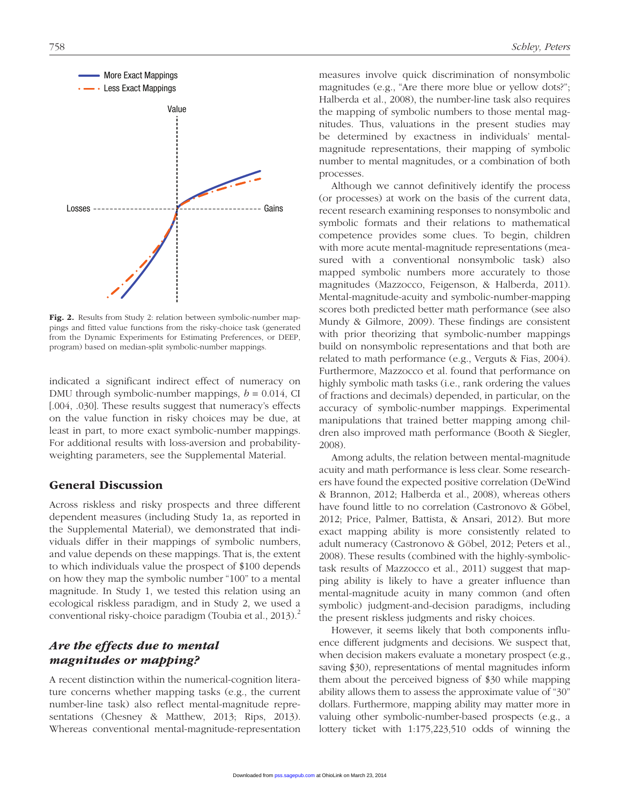

Fig. 2. Results from Study 2: relation between symbolic-number mappings and fitted value functions from the risky-choice task (generated from the Dynamic Experiments for Estimating Preferences, or DEEP, program) based on median-split symbolic-number mappings.

indicated a significant indirect effect of numeracy on DMU through symbolic-number mappings,  $b = 0.014$ , CI [.004, .030]. These results suggest that numeracy's effects on the value function in risky choices may be due, at least in part, to more exact symbolic-number mappings. For additional results with loss-aversion and probabilityweighting parameters, see the Supplemental Material.

#### General Discussion

Across riskless and risky prospects and three different dependent measures (including Study 1a, as reported in the Supplemental Material), we demonstrated that individuals differ in their mappings of symbolic numbers, and value depends on these mappings. That is, the extent to which individuals value the prospect of \$100 depends on how they map the symbolic number "100" to a mental magnitude. In Study 1, we tested this relation using an ecological riskless paradigm, and in Study 2, we used a conventional risky-choice paradigm (Toubia et al., 2013).<sup>2</sup>

# *Are the effects due to mental magnitudes or mapping?*

A recent distinction within the numerical-cognition literature concerns whether mapping tasks (e.g., the current number-line task) also reflect mental-magnitude representations (Chesney & Matthew, 2013; Rips, 2013). Whereas conventional mental-magnitude-representation measures involve quick discrimination of nonsymbolic magnitudes (e.g., "Are there more blue or yellow dots?"; Halberda et al., 2008), the number-line task also requires the mapping of symbolic numbers to those mental magnitudes. Thus, valuations in the present studies may be determined by exactness in individuals' mentalmagnitude representations, their mapping of symbolic number to mental magnitudes, or a combination of both processes.

Although we cannot definitively identify the process (or processes) at work on the basis of the current data, recent research examining responses to nonsymbolic and symbolic formats and their relations to mathematical competence provides some clues. To begin, children with more acute mental-magnitude representations (measured with a conventional nonsymbolic task) also mapped symbolic numbers more accurately to those magnitudes (Mazzocco, Feigenson, & Halberda, 2011). Mental-magnitude-acuity and symbolic-number-mapping scores both predicted better math performance (see also Mundy & Gilmore, 2009). These findings are consistent with prior theorizing that symbolic-number mappings build on nonsymbolic representations and that both are related to math performance (e.g., Verguts & Fias, 2004). Furthermore, Mazzocco et al. found that performance on highly symbolic math tasks (i.e., rank ordering the values of fractions and decimals) depended, in particular, on the accuracy of symbolic-number mappings. Experimental manipulations that trained better mapping among children also improved math performance (Booth & Siegler, 2008).

Among adults, the relation between mental-magnitude acuity and math performance is less clear. Some researchers have found the expected positive correlation (DeWind & Brannon, 2012; Halberda et al., 2008), whereas others have found little to no correlation (Castronovo & Göbel, 2012; Price, Palmer, Battista, & Ansari, 2012). But more exact mapping ability is more consistently related to adult numeracy (Castronovo & Göbel, 2012; Peters et al., 2008). These results (combined with the highly-symbolictask results of Mazzocco et al., 2011) suggest that mapping ability is likely to have a greater influence than mental-magnitude acuity in many common (and often symbolic) judgment-and-decision paradigms, including the present riskless judgments and risky choices.

However, it seems likely that both components influence different judgments and decisions. We suspect that, when decision makers evaluate a monetary prospect (e.g., saving \$30), representations of mental magnitudes inform them about the perceived bigness of \$30 while mapping ability allows them to assess the approximate value of "30" dollars. Furthermore, mapping ability may matter more in valuing other symbolic-number-based prospects (e.g., a lottery ticket with 1:175,223,510 odds of winning the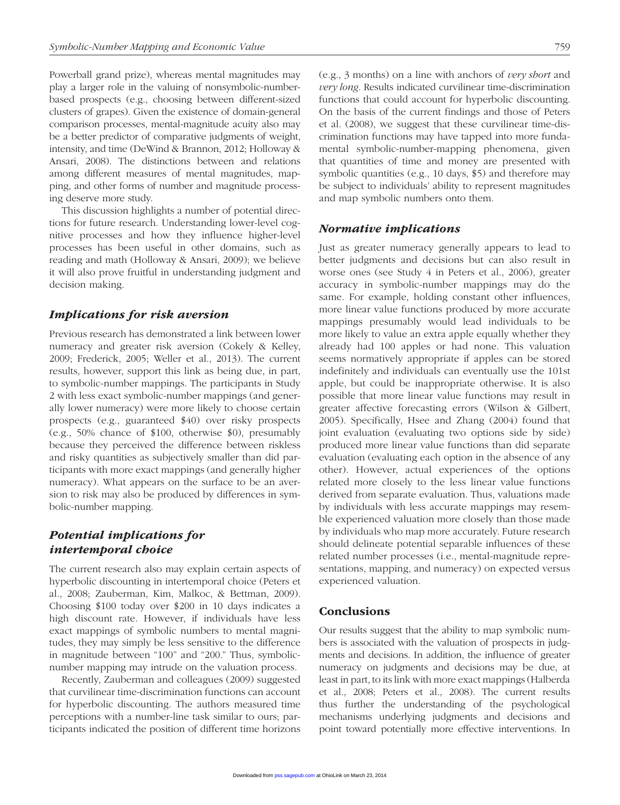Powerball grand prize), whereas mental magnitudes may play a larger role in the valuing of nonsymbolic-numberbased prospects (e.g., choosing between different-sized clusters of grapes). Given the existence of domain-general comparison processes, mental-magnitude acuity also may be a better predictor of comparative judgments of weight, intensity, and time (DeWind & Brannon, 2012; Holloway & Ansari, 2008). The distinctions between and relations among different measures of mental magnitudes, mapping, and other forms of number and magnitude processing deserve more study.

This discussion highlights a number of potential directions for future research. Understanding lower-level cognitive processes and how they influence higher-level processes has been useful in other domains, such as reading and math (Holloway & Ansari, 2009); we believe it will also prove fruitful in understanding judgment and decision making.

#### *Implications for risk aversion*

Previous research has demonstrated a link between lower numeracy and greater risk aversion (Cokely & Kelley, 2009; Frederick, 2005; Weller et al., 2013). The current results, however, support this link as being due, in part, to symbolic-number mappings. The participants in Study 2 with less exact symbolic-number mappings (and generally lower numeracy) were more likely to choose certain prospects (e.g., guaranteed \$40) over risky prospects (e.g., 50% chance of \$100, otherwise \$0), presumably because they perceived the difference between riskless and risky quantities as subjectively smaller than did participants with more exact mappings (and generally higher numeracy). What appears on the surface to be an aversion to risk may also be produced by differences in symbolic-number mapping.

# *Potential implications for intertemporal choice*

The current research also may explain certain aspects of hyperbolic discounting in intertemporal choice (Peters et al., 2008; Zauberman, Kim, Malkoc, & Bettman, 2009). Choosing \$100 today over \$200 in 10 days indicates a high discount rate. However, if individuals have less exact mappings of symbolic numbers to mental magnitudes, they may simply be less sensitive to the difference in magnitude between "100" and "200." Thus, symbolicnumber mapping may intrude on the valuation process.

Recently, Zauberman and colleagues (2009) suggested that curvilinear time-discrimination functions can account for hyperbolic discounting. The authors measured time perceptions with a number-line task similar to ours; participants indicated the position of different time horizons (e.g., 3 months) on a line with anchors of *very short* and *very long*. Results indicated curvilinear time-discrimination functions that could account for hyperbolic discounting. On the basis of the current findings and those of Peters et al. (2008), we suggest that these curvilinear time-discrimination functions may have tapped into more fundamental symbolic-number-mapping phenomena, given that quantities of time and money are presented with symbolic quantities (e.g., 10 days, \$5) and therefore may be subject to individuals' ability to represent magnitudes and map symbolic numbers onto them.

#### *Normative implications*

Just as greater numeracy generally appears to lead to better judgments and decisions but can also result in worse ones (see Study 4 in Peters et al., 2006), greater accuracy in symbolic-number mappings may do the same. For example, holding constant other influences, more linear value functions produced by more accurate mappings presumably would lead individuals to be more likely to value an extra apple equally whether they already had 100 apples or had none. This valuation seems normatively appropriate if apples can be stored indefinitely and individuals can eventually use the 101st apple, but could be inappropriate otherwise. It is also possible that more linear value functions may result in greater affective forecasting errors (Wilson & Gilbert, 2005). Specifically, Hsee and Zhang (2004) found that joint evaluation (evaluating two options side by side) produced more linear value functions than did separate evaluation (evaluating each option in the absence of any other). However, actual experiences of the options related more closely to the less linear value functions derived from separate evaluation. Thus, valuations made by individuals with less accurate mappings may resemble experienced valuation more closely than those made by individuals who map more accurately. Future research should delineate potential separable influences of these related number processes (i.e., mental-magnitude representations, mapping, and numeracy) on expected versus experienced valuation.

#### Conclusions

Our results suggest that the ability to map symbolic numbers is associated with the valuation of prospects in judgments and decisions. In addition, the influence of greater numeracy on judgments and decisions may be due, at least in part, to its link with more exact mappings (Halberda et al., 2008; Peters et al., 2008). The current results thus further the understanding of the psychological mechanisms underlying judgments and decisions and point toward potentially more effective interventions. In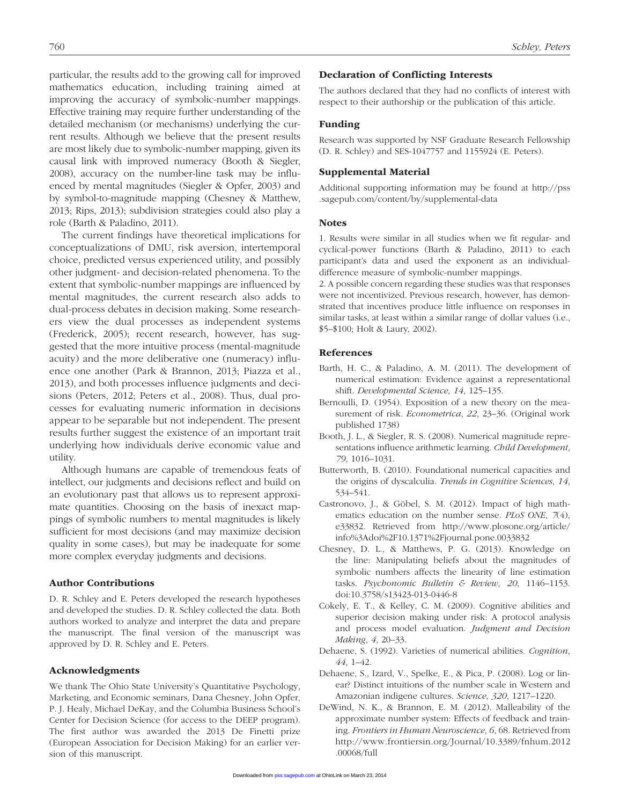particular, the results add to the growing call for improved mathematics education, including training aimed at improving the accuracy of symbolic-number mappings. Effective training may require further understanding of the detailed mechanism (or mechanisms) underlying the current results. Although we believe that the present results are most likely due to symbolic-number mapping, given its causal link with improved numeracy (Booth & Siegler, 2008), accuracy on the number-line task may be influenced by mental magnitudes (Siegler & Opfer, 2003) and by symbol-to-magnitude mapping (Chesney & Matthew, 2013; Rips, 2013); subdivision strategies could also play a role (Barth & Paladino, 2011).

The current findings have theoretical implications for conceptualizations of DMU, risk aversion, intertemporal choice, predicted versus experienced utility, and possibly other judgment- and decision-related phenomena. To the extent that symbolic-number mappings are influenced by mental magnitudes, the current research also adds to dual-process debates in decision making. Some researchers view the dual processes as independent systems (Frederick, 2005); recent research, however, has suggested that the more intuitive process (mental-magnitude acuity) and the more deliberative one (numeracy) influence one another (Park & Brannon, 2013; Piazza et al., 2013), and both processes influence judgments and decisions (Peters, 2012; Peters et al., 2008). Thus, dual processes for evaluating numeric information in decisions appear to be separable but not independent. The present results further suggest the existence of an important trait underlying how individuals derive economic value and utility.

Although humans are capable of tremendous feats of intellect, our judgments and decisions reflect and build on an evolutionary past that allows us to represent approximate quantities. Choosing on the basis of inexact mappings of symbolic numbers to mental magnitudes is likely sufficient for most decisions (and may maximize decision quality in some cases), but may be inadequate for some more complex everyday judgments and decisions.

#### Author Contributions

D. R. Schley and E. Peters developed the research hypotheses and developed the studies. D. R. Schley collected the data. Both authors worked to analyze and interpret the data and prepare the manuscript. The final version of the manuscript was approved by D. R. Schley and E. Peters.

#### Acknowledgments

We thank The Ohio State University's Quantitative Psychology, Marketing, and Economic seminars, Dana Chesney, John Opfer, P. J. Healy, Michael DeKay, and the Columbia Business School's Center for Decision Science (for access to the DEEP program). The first author was awarded the 2013 De Finetti prize (European Association for Decision Making) for an earlier version of this manuscript.

#### Declaration of Conflicting Interests

The authors declared that they had no conflicts of interest with respect to their authorship or the publication of this article.

#### Funding

Research was supported by NSF Graduate Research Fellowship (D. R. Schley) and SES-1047757 and 1155924 (E. Peters).

#### Supplemental Material

[Additional supporting information may be found at http://pss](http://pss.sagepub.com/content/by/supplemental-data) .sagepub.com/content/by/supplemental-data

#### **Notes**

1. Results were similar in all studies when we fit regular- and cyclical-power functions (Barth & Paladino, 2011) to each participant's data and used the exponent as an individualdifference measure of symbolic-number mappings.

2. A possible concern regarding these studies was that responses were not incentivized. Previous research, however, has demonstrated that incentives produce little influence on responses in similar tasks, at least within a similar range of dollar values (i.e., \$5–\$100; Holt & Laury, 2002).

#### References

- Barth, H. C., & Paladino, A. M. (2011). The development of numerical estimation: Evidence against a representational shift. *Developmental Science*, *14*, 125–135.
- Bernoulli, D. (1954). Exposition of a new theory on the measurement of risk. *Econometrica*, *22*, 23–36. (Original work published 1738)
- Booth, J. L., & Siegler, R. S. (2008). Numerical magnitude representations influence arithmetic learning. *Child Development*, *79*, 1016–1031.
- Butterworth, B. (2010). Foundational numerical capacities and the origins of dyscalculia. *Trends in Cognitive Sciences*, *14*, 534–541.
- Castronovo, J., & Göbel, S. M. (2012). Impact of high mathematics education on the number sense. *PLoS ONE*, *7*(4), [e33832. Retrieved from http://www.plosone.org/article/](http://www.plosone.org/article/info%3Adoi%2F10.1371%2Fjournal.pone.0033832) info%3Adoi%2F10.1371%2Fjournal.pone.0033832
- Chesney, D. L., & Matthews, P. G. (2013). Knowledge on the line: Manipulating beliefs about the magnitudes of symbolic numbers affects the linearity of line estimation tasks. *Psychonomic Bulletin & Review*, *20*, 1146–1153. doi:10.3758/s13423-013-0446-8
- Cokely, E. T., & Kelley, C. M. (2009). Cognitive abilities and superior decision making under risk: A protocol analysis and process model evaluation. *Judgment and Decision Making*, *4*, 20–33.
- Dehaene, S. (1992). Varieties of numerical abilities. *Cognition*, *44*, 1–42.
- Dehaene, S., Izard, V., Spelke, E., & Pica, P. (2008). Log or linear? Distinct intuitions of the number scale in Western and Amazonian indigene cultures. *Science*, *320*, 1217–1220.
- DeWind, N. K., & Brannon, E. M. (2012). Malleability of the approximate number system: Effects of feedback and training. *Frontiers in Human Neuroscience*, *6*, 68. Retrieved from [http://www.frontiersin.org/Journal/10.3389/fnhum.2012](http://www.frontiersin.org/Journal/10.3389/fnhum.2012.00068/full) .00068/full